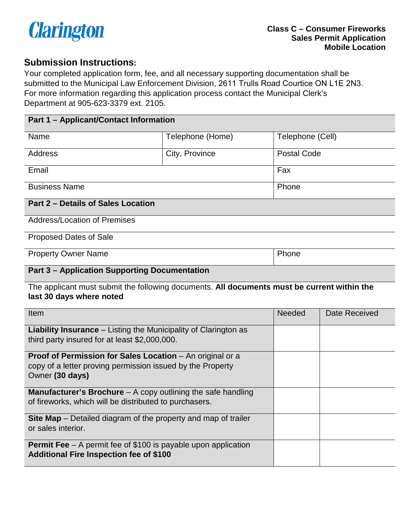

### **Submission Instructions:**

Your completed application form, fee, and all necessary supporting documentation shall be submitted to the Municipal Law Enforcement Division, 2611 Trulls Road Courtice ON L1E 2N3. For more information regarding this application process contact the Municipal Clerk's Department at 905-623-3379 ext. 2105.

#### **Part 1 – Applicant/Contact Information**

| Name                 | Telephone (Home) | Telephone (Cell)   |
|----------------------|------------------|--------------------|
| Address              | City, Province   | <b>Postal Code</b> |
| Email                |                  | Fax                |
| <b>Business Name</b> |                  | Phone              |

## **Part 2 – Details of Sales Location**

Address/Location of Premises

Proposed Dates of Sale

Property Owner Name **Property Owner Name** 

#### **Part 3 – Application Supporting Documentation**

 The applicant must submit the following documents. **All documents must be current within the last 30 days where noted** 

| Item                                                                    | <b>Needed</b> | Date Received |
|-------------------------------------------------------------------------|---------------|---------------|
| <b>Liability Insurance</b> – Listing the Municipality of Clarington as  |               |               |
| third party insured for at least \$2,000,000.                           |               |               |
| Proof of Permission for Sales Location - An original or a               |               |               |
| copy of a letter proving permission issued by the Property              |               |               |
| Owner (30 days)                                                         |               |               |
| <b>Manufacturer's Brochure</b> $-$ A copy outlining the safe handling   |               |               |
| of fireworks, which will be distributed to purchasers.                  |               |               |
| <b>Site Map</b> – Detailed diagram of the property and map of trailer   |               |               |
| or sales interior.                                                      |               |               |
| <b>Permit Fee</b> $-$ A permit fee of \$100 is payable upon application |               |               |
| <b>Additional Fire Inspection fee of \$100</b>                          |               |               |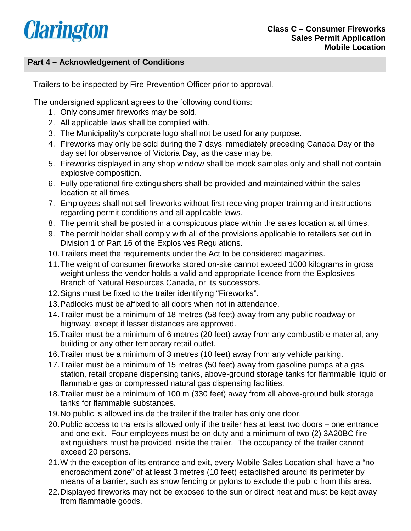# **Clarington**

#### **Part 4 – Acknowledgement of Conditions**

Trailers to be inspected by Fire Prevention Officer prior to approval.

The undersigned applicant agrees to the following conditions:

- 1. Only consumer fireworks may be sold.
- 2. All applicable laws shall be complied with.
- 3. The Municipality's corporate logo shall not be used for any purpose.
- day set for observance of Victoria Day, as the case may be. 4. Fireworks may only be sold during the 7 days immediately preceding Canada Day or the
- 5. Fireworks displayed in any shop window shall be mock samples only and shall not contain explosive composition.
- 6. Fully operational fire extinguishers shall be provided and maintained within the sales location at all times.
- 7. Employees shall not sell fireworks without first receiving proper training and instructions regarding permit conditions and all applicable laws.
- 8. The permit shall be posted in a conspicuous place within the sales location at all times.
- 9. The permit holder shall comply with all of the provisions applicable to retailers set out in Division 1 of Part 16 of the Explosives Regulations.
- 10.Trailers meet the requirements under the Act to be considered magazines.
- Branch of Natural Resources Canada, or its successors. 11.The weight of consumer fireworks stored on-site cannot exceed 1000 kilograms in gross weight unless the vendor holds a valid and appropriate licence from the Explosives
- 12.Signs must be fixed to the trailer identifying "Fireworks".
- 13.Padlocks must be affixed to all doors when not in attendance.
- 14.Trailer must be a minimum of 18 metres (58 feet) away from any public roadway or highway, except if lesser distances are approved.
- 15.Trailer must be a minimum of 6 metres (20 feet) away from any combustible material, any building or any other temporary retail outlet.
- 16.Trailer must be a minimum of 3 metres (10 feet) away from any vehicle parking.
- 17.Trailer must be a minimum of 15 metres (50 feet) away from gasoline pumps at a gas station, retail propane dispensing tanks, above-ground storage tanks for flammable liquid or flammable gas or compressed natural gas dispensing facilities.
- 18.Trailer must be a minimum of 100 m (330 feet) away from all above-ground bulk storage tanks for flammable substances.
- 19.No public is allowed inside the trailer if the trailer has only one door.
- and one exit. Four employees must be on duty and a minimum of two (2) 3A20BC fire 20.Public access to trailers is allowed only if the trailer has at least two doors – one entrance extinguishers must be provided inside the trailer. The occupancy of the trailer cannot exceed 20 persons.
- encroachment zone" of at least 3 metres (10 feet) established around its perimeter by 21.With the exception of its entrance and exit, every Mobile Sales Location shall have a "no means of a barrier, such as snow fencing or pylons to exclude the public from this area.
- 22.Displayed fireworks may not be exposed to the sun or direct heat and must be kept away from flammable goods.